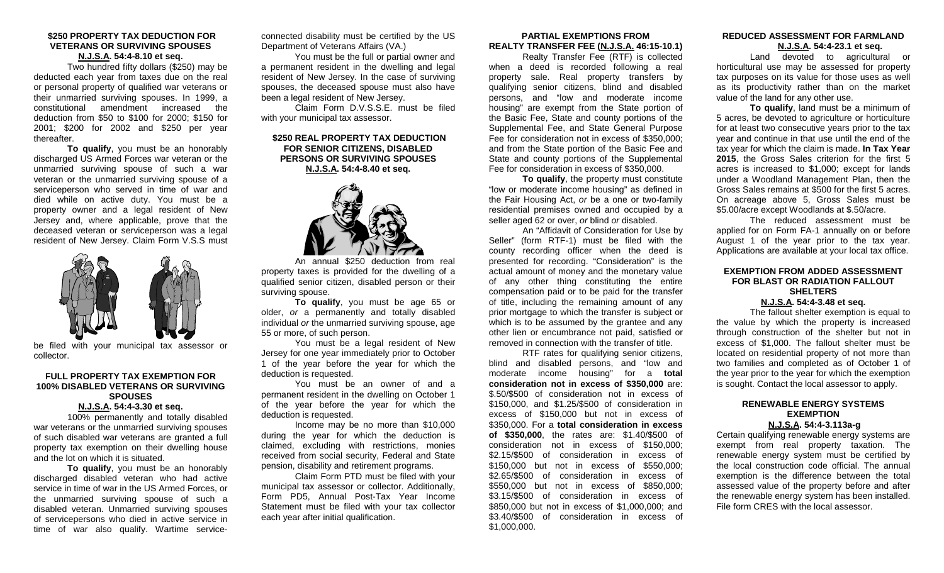## **\$250 PROPERTY TAX DEDUCTION FOR VETERANS OR SURVIVING SPOUSES N.J.S.A. 54:4-8.10 et seq.**

Two hundred fifty dollars (\$250) may be deducted each year from taxes due on the real or personal property of qualified war veterans or their unmarried surviving spouses. In 1999, a constitutional amendment increased the deduction from \$50 to \$100 for 2000; \$150 for 2001; \$200 for 2002 and \$250 per year thereafter.

**To qualify**, you must be an honorably discharged US Armed Forces war veteran or the unmarried surviving spouse of such a war veteran or the unmarried surviving spouse of a serviceperson who served in time of war and died while on active duty. You must be a property owner and a legal resident of New Jersey and, where applicable, prove that the deceased veteran or serviceperson was a legal resident of New Jersey. Claim Form V.S.S must



be filed with your municipal tax assessor or collector.

## **FULL PROPERTY TAX EXEMPTION FOR 100% DISABLED VETERANS OR SURVIVING SPOUSES**

## **N.J.S.A. 54:4-3.30 et seq.**

100% permanently and totally disabled war veterans or the unmarried surviving spouses of such disabled war veterans are granted a full property tax exemption on their dwelling house and the lot on which it is situated.

**To qualify**, you must be an honorably discharged disabled veteran who had active service in time of war in the US Armed Forces, or the unmarried surviving spouse of such a disabled veteran. Unmarried surviving spouses of servicepersons who died in active service in time of war also qualify. Wartime serviceconnected disability must be certified by the US Department of Veterans Affairs (VA.)

You must be the full or partial owner and a permanent resident in the dwelling and legal resident of New Jersey. In the case of surviving spouses, the deceased spouse must also have been a legal resident of New Jersey.

Claim Form D.V.S.S.E. must be filed with your municipal tax assessor.

## **\$250 REAL PROPERTY TAX DEDUCTION FOR SENIOR CITIZENS, DISABLED PERSONS OR SURVIVING SPOUSES N.J.S.A. 54:4-8.40 et seq.**



An annual \$250 deduction from real property taxes is provided for the dwelling of a qualified senior citizen, disabled person or their surviving spouse.

**To qualify**, you must be age 65 or older, *or* a permanently and totally disabled individual *or* the unmarried surviving spouse, age 55 or more, of such person.

You must be a legal resident of New Jersey for one year immediately prior to October 1 of the year before the year for which the deduction is requested.

You must be an owner of and a permanent resident in the dwelling on October 1 of the year before the year for which the deduction is requested.

Income may be no more than \$10,000 during the year for which the deduction is claimed, excluding with restrictions, monies received from social security, Federal and State pension, disability and retirement programs.

Claim Form PTD must be filed with your municipal tax assessor or collector. Additionally, Form PD5, Annual Post-Tax Year Income Statement must be filed with your tax collector each year after initial qualification.

## **PARTIAL EXEMPTIONS FROM REALTY TRANSFER FEE (N.J.S.A. 46:15-10.1)**

Realty Transfer Fee (RTF) is collected when a deed is recorded following a real property sale. Real property transfers by qualifying senior citizens, blind and disabled persons, and "low and moderate income housing" are exempt from the State portion of the Basic Fee, State and county portions of the Supplemental Fee, and State General Purpose Fee for consideration not in excess of \$350,000; and from the State portion of the Basic Fee and State and county portions of the Supplemental Fee for consideration in excess of \$350,000.

**To qualify**, the property must constitute "low or moderate income housing" as defined in the Fair Housing Act, *or* be a one or two-family residential premises owned and occupied by a seller aged 62 or over, *or* blind *or* disabled.

An "Affidavit of Consideration for Use by Seller" (form RTF-1) must be filed with the county recording officer when the deed is presented for recording. "Consideration" is the actual amount of money and the monetary value of any other thing constituting the entire compensation paid or to be paid for the transfer of title, including the remaining amount of any prior mortgage to which the transfer is subject or which is to be assumed by the grantee and any other lien or encumbrance not paid, satisfied or removed in connection with the transfer of title.

RTF rates for qualifying senior citizens, blind and disabled persons, and "low and moderate income housing" for a **total consideration not in excess of \$350,000** are: \$.50/\$500 of consideration not in excess of \$150,000, and \$1.25/\$500 of consideration in excess of \$150,000 but not in excess of \$350,000. For a **total consideration in excess of \$350,000**, the rates are: \$1.40/\$500 of consideration not in excess of \$150,000; \$2.15/\$500 of consideration in excess of \$150,000 but not in excess of \$550,000; \$2.65/\$500 of consideration in excess of \$550,000 but not in excess of \$850,000; \$3.15/\$500 of consideration in excess of \$850,000 but not in excess of \$1,000,000; and \$3.40/\$500 of consideration in excess of \$1,000,000.

## **REDUCED ASSESSMENT FOR FARMLAND N.J.S.A. 54:4-23.1 et seq.**

Land devoted to agricultural or horticultural use may be assessed for property tax purposes on its value for those uses as well as its productivity rather than on the market value of the land for any other use.

**To qualify**, land must be a minimum of 5 acres, be devoted to agriculture or horticulture for at least two consecutive years prior to the tax year and continue in that use until the end of the tax year for which the claim is made. **In Tax Year 2015**, the Gross Sales criterion for the first 5 acres is increased to \$1,000; except for lands under a Woodland Management Plan, then the Gross Sales remains at \$500 for the first 5 acres. On acreage above 5, Gross Sales must be \$5.00/acre except Woodlands at \$.50/acre.

The reduced assessment must be applied for on Form FA-1 annually on or before August 1 of the year prior to the tax year. Applications are available at your local tax office.

## **EXEMPTION FROM ADDED ASSESSMENT FOR BLAST OR RADIATION FALLOUT SHELTERS N.J.S.A. 54:4-3.48 et seq.**

The fallout shelter exemption is equal to the value by which the property is increased through construction of the shelter but not in excess of \$1,000. The fallout shelter must be located on residential property of not more than two families and completed as of October 1 of the year prior to the year for which the exemption is sought. Contact the local assessor to apply.

## **RENEWABLE ENERGY SYSTEMS EXEMPTION N.J.S.A. 54:4-3.113a-g**

Certain qualifying renewable energy systems are exempt from real property taxation. The renewable energy system must be certified by the local construction code official. The annual exemption is the difference between the total assessed value of the property before and after the renewable energy system has been installed. File form CRES with the local assessor.